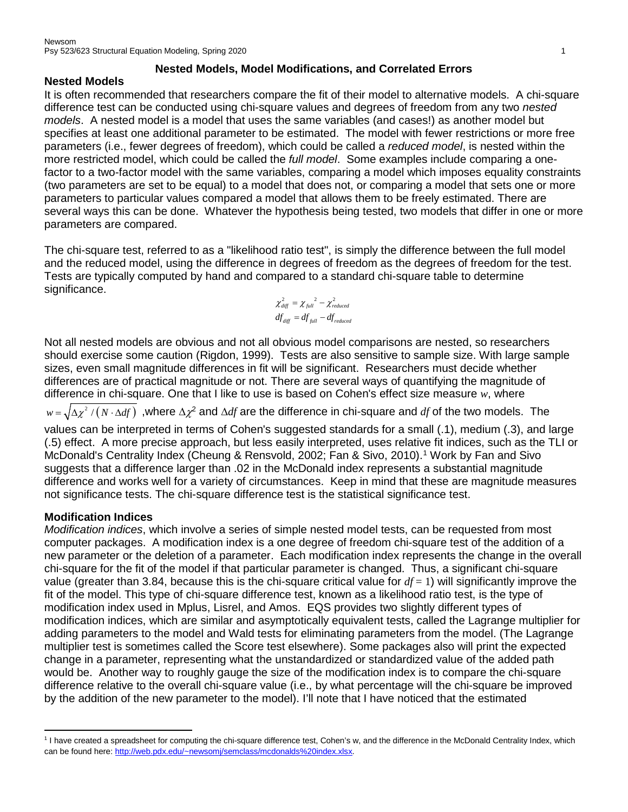#### **Nested Models, Model Modifications, and Correlated Errors**

#### **Nested Models**

It is often recommended that researchers compare the fit of their model to alternative models. A chi-square difference test can be conducted using chi-square values and degrees of freedom from any two *nested models*. A nested model is a model that uses the same variables (and cases!) as another model but specifies at least one additional parameter to be estimated. The model with fewer restrictions or more free parameters (i.e., fewer degrees of freedom), which could be called a *reduced model*, is nested within the more restricted model, which could be called the *full model*. Some examples include comparing a onefactor to a two-factor model with the same variables, comparing a model which imposes equality constraints (two parameters are set to be equal) to a model that does not, or comparing a model that sets one or more parameters to particular values compared a model that allows them to be freely estimated. There are several ways this can be done. Whatever the hypothesis being tested, two models that differ in one or more parameters are compared.

The chi-square test, referred to as a "likelihood ratio test", is simply the difference between the full model and the reduced model, using the difference in degrees of freedom as the degrees of freedom for the test. Tests are typically computed by hand and compared to a standard chi-square table to determine significance.

$$
\chi_{\text{diff}}^2 = \chi_{\text{full}}^2 - \chi_{\text{reduced}}^2
$$
  

$$
df_{\text{diff}} = df_{\text{full}} - df_{\text{reduced}}
$$

Not all nested models are obvious and not all obvious model comparisons are nested, so researchers should exercise some caution (Rigdon, 1999). Tests are also sensitive to sample size. With large sample sizes, even small magnitude differences in fit will be significant. Researchers must decide whether differences are of practical magnitude or not. There are several ways of quantifying the magnitude of difference in chi-square. One that I like to use is based on Cohen's effect size measure *w*, where

 $w = \sqrt{\Delta \chi^2 / (N \cdot \Delta df)}$ , where  $\Delta \chi^2$  and  $\Delta df$  are the difference in chi-square and *df* of the two models. The

values can be interpreted in terms of Cohen's suggested standards for a small (.1), medium (.3), and large (.5) effect. A more precise approach, but less easily interpreted, uses relative fit indices, such as the TLI or McDonald's Centrality Index (Cheung & Rensvold, 2002; Fan & Sivo, 2010). [1](#page-0-0) Work by Fan and Sivo suggests that a difference larger than .02 in the McDonald index represents a substantial magnitude difference and works well for a variety of circumstances. Keep in mind that these are magnitude measures not significance tests. The chi-square difference test is the statistical significance test.

# **Modification Indices**

 $\overline{\phantom{a}}$ 

*Modification indices*, which involve a series of simple nested model tests, can be requested from most computer packages. A modification index is a one degree of freedom chi-square test of the addition of a new parameter or the deletion of a parameter. Each modification index represents the change in the overall chi-square for the fit of the model if that particular parameter is changed. Thus, a significant chi-square value (greater than 3.84, because this is the chi-square critical value for  $df = 1$ ) will significantly improve the fit of the model. This type of chi-square difference test, known as a likelihood ratio test, is the type of modification index used in Mplus, Lisrel, and Amos. EQS provides two slightly different types of modification indices, which are similar and asymptotically equivalent tests, called the Lagrange multiplier for adding parameters to the model and Wald tests for eliminating parameters from the model. (The Lagrange multiplier test is sometimes called the Score test elsewhere). Some packages also will print the expected change in a parameter, representing what the unstandardized or standardized value of the added path would be. Another way to roughly gauge the size of the modification index is to compare the chi-square difference relative to the overall chi-square value (i.e., by what percentage will the chi-square be improved by the addition of the new parameter to the model). I'll note that I have noticed that the estimated

<span id="page-0-0"></span><sup>1</sup> I have created a spreadsheet for computing the chi-square difference test, Cohen's w, and the difference in the McDonald Centrality Index, which can be found here: [http://web.pdx.edu/~newsomj/semclass/mcdonalds%20index.xlsx.](http://web.pdx.edu/%7Enewsomj/semclass/mcdonalds%20index.xlsx)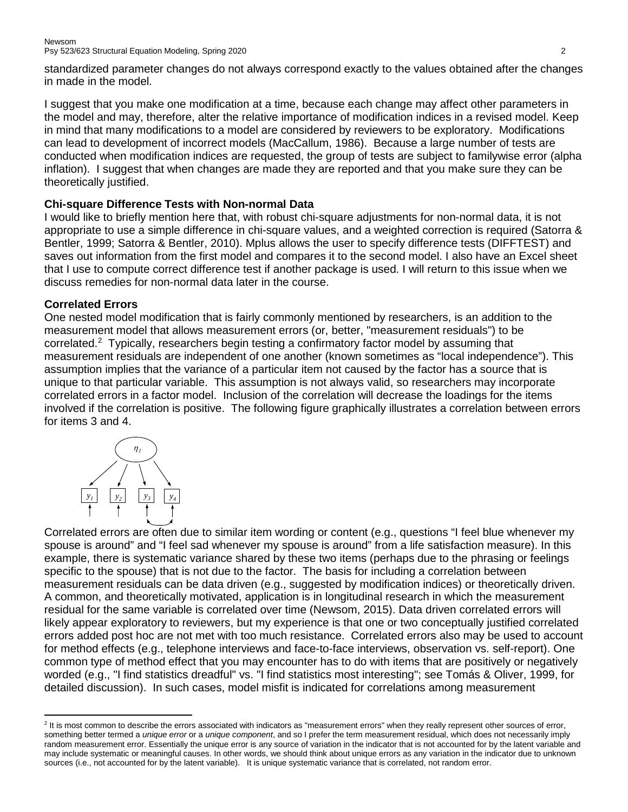standardized parameter changes do not always correspond exactly to the values obtained after the changes in made in the model.

I suggest that you make one modification at a time, because each change may affect other parameters in the model and may, therefore, alter the relative importance of modification indices in a revised model. Keep in mind that many modifications to a model are considered by reviewers to be exploratory. Modifications can lead to development of incorrect models (MacCallum, 1986). Because a large number of tests are conducted when modification indices are requested, the group of tests are subject to familywise error (alpha inflation). I suggest that when changes are made they are reported and that you make sure they can be theoretically justified.

# **Chi-square Difference Tests with Non-normal Data**

I would like to briefly mention here that, with robust chi-square adjustments for non-normal data, it is not appropriate to use a simple difference in chi-square values, and a weighted correction is required (Satorra & Bentler, 1999; Satorra & Bentler, 2010). Mplus allows the user to specify difference tests (DIFFTEST) and saves out information from the first model and compares it to the second model. I also have an Excel sheet that I use to compute correct difference test if another package is used. I will return to this issue when we discuss remedies for non-normal data later in the course.

# **Correlated Errors**

One nested model modification that is fairly commonly mentioned by researchers, is an addition to the measurement model that allows measurement errors (or, better, "measurement residuals") to be correlated.<sup>[2](#page-1-0)</sup> Typically, researchers begin testing a confirmatory factor model by assuming that measurement residuals are independent of one another (known sometimes as "local independence"). This assumption implies that the variance of a particular item not caused by the factor has a source that is unique to that particular variable. This assumption is not always valid, so researchers may incorporate correlated errors in a factor model. Inclusion of the correlation will decrease the loadings for the items involved if the correlation is positive. The following figure graphically illustrates a correlation between errors for items 3 and 4.



Correlated errors are often due to similar item wording or content (e.g., questions "I feel blue whenever my spouse is around" and "I feel sad whenever my spouse is around" from a life satisfaction measure). In this example, there is systematic variance shared by these two items (perhaps due to the phrasing or feelings specific to the spouse) that is not due to the factor. The basis for including a correlation between measurement residuals can be data driven (e.g., suggested by modification indices) or theoretically driven. A common, and theoretically motivated, application is in longitudinal research in which the measurement residual for the same variable is correlated over time (Newsom, 2015). Data driven correlated errors will likely appear exploratory to reviewers, but my experience is that one or two conceptually justified correlated errors added post hoc are not met with too much resistance. Correlated errors also may be used to account for method effects (e.g., telephone interviews and face-to-face interviews, observation vs. self-report). One common type of method effect that you may encounter has to do with items that are positively or negatively worded (e.g., "I find statistics dreadful" vs. "I find statistics most interesting"; see Tomás & Oliver, 1999, for detailed discussion). In such cases, model misfit is indicated for correlations among measurement

<span id="page-1-0"></span>l <sup>2</sup> It is most common to describe the errors associated with indicators as "measurement errors" when they really represent other sources of error, something better termed a *unique error* or a *unique component*, and so I prefer the term measurement residual, which does not necessarily imply random measurement error. Essentially the unique error is any source of variation in the indicator that is not accounted for by the latent variable and may include systematic or meaningful causes. In other words, we should think about unique errors as any variation in the indicator due to unknown sources (i.e., not accounted for by the latent variable). It is unique systematic variance that is correlated, not random error.